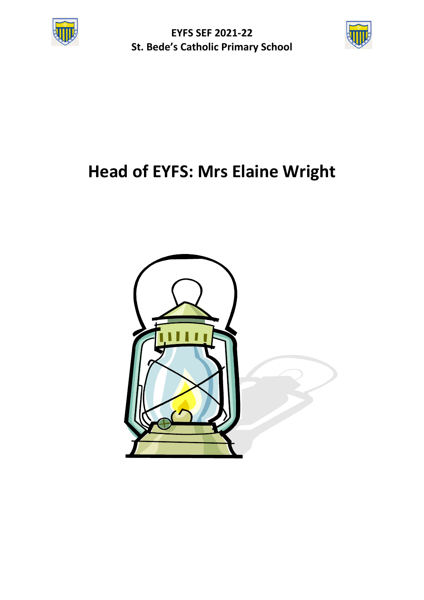

**EYFS SEF 2021-22 St. Bede's Catholic Primary School**



# **Head of EYFS: Mrs Elaine Wright**

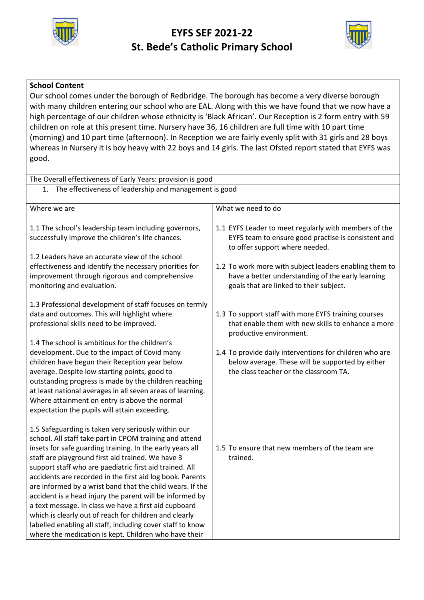

# **EYFS SEF 2021-22 St. Bede's Catholic Primary School**



## **School Content**

Our school comes under the borough of Redbridge. The borough has become a very diverse borough with many children entering our school who are EAL. Along with this we have found that we now have a high percentage of our children whose ethnicity is 'Black African'. Our Reception is 2 form entry with 59 children on role at this present time. Nursery have 36, 16 children are full time with 10 part time (morning) and 10 part time (afternoon). In Reception we are fairly evenly split with 31 girls and 28 boys whereas in Nursery it is boy heavy with 22 boys and 14 girls. The last Ofsted report stated that EYFS was good.

| The Overall effectiveness of Early Years: provision is good |                                                                                       |  |
|-------------------------------------------------------------|---------------------------------------------------------------------------------------|--|
| 1. The effectiveness of leadership and management is good   |                                                                                       |  |
|                                                             |                                                                                       |  |
| Where we are                                                | What we need to do                                                                    |  |
| 1.1 The school's leadership team including governors,       | 1.1 EYFS Leader to meet regularly with members of the                                 |  |
| successfully improve the children's life chances.           | EYFS team to ensure good practise is consistent and<br>to offer support where needed. |  |
| 1.2 Leaders have an accurate view of the school             |                                                                                       |  |
| effectiveness and identify the necessary priorities for     | 1.2 To work more with subject leaders enabling them to                                |  |
| improvement through rigorous and comprehensive              | have a better understanding of the early learning                                     |  |
| monitoring and evaluation.                                  | goals that are linked to their subject.                                               |  |
| 1.3 Professional development of staff focuses on termly     |                                                                                       |  |
| data and outcomes. This will highlight where                | 1.3 To support staff with more EYFS training courses                                  |  |
| professional skills need to be improved.                    | that enable them with new skills to enhance a more                                    |  |
|                                                             | productive environment.                                                               |  |
| 1.4 The school is ambitious for the children's              |                                                                                       |  |
| development. Due to the impact of Covid many                | 1.4 To provide daily interventions for children who are                               |  |
| children have begun their Reception year below              | below average. These will be supported by either                                      |  |
| average. Despite low starting points, good to               | the class teacher or the classroom TA.                                                |  |
| outstanding progress is made by the children reaching       |                                                                                       |  |
| at least national averages in all seven areas of learning.  |                                                                                       |  |
| Where attainment on entry is above the normal               |                                                                                       |  |
| expectation the pupils will attain exceeding.               |                                                                                       |  |
| 1.5 Safeguarding is taken very seriously within our         |                                                                                       |  |
| school. All staff take part in CPOM training and attend     |                                                                                       |  |
| insets for safe guarding training. In the early years all   | 1.5 To ensure that new members of the team are                                        |  |
| staff are playground first aid trained. We have 3           | trained.                                                                              |  |
| support staff who are paediatric first aid trained. All     |                                                                                       |  |
| accidents are recorded in the first aid log book. Parents   |                                                                                       |  |
| are informed by a wrist band that the child wears. If the   |                                                                                       |  |
| accident is a head injury the parent will be informed by    |                                                                                       |  |
| a text message. In class we have a first aid cupboard       |                                                                                       |  |
| which is clearly out of reach for children and clearly      |                                                                                       |  |
| labelled enabling all staff, including cover staff to know  |                                                                                       |  |
| where the medication is kept. Children who have their       |                                                                                       |  |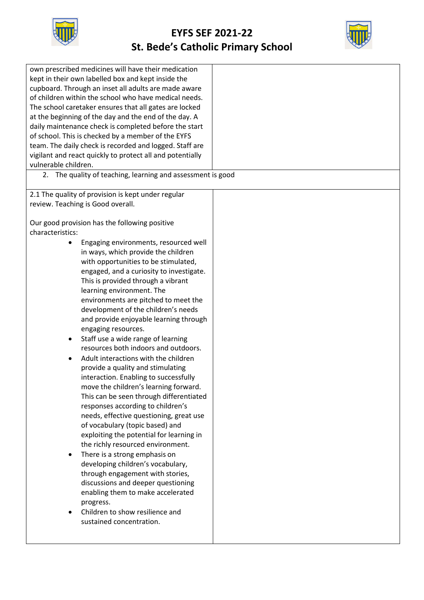



| own prescribed medicines will have their medication<br>kept in their own labelled box and kept inside the<br>cupboard. Through an inset all adults are made aware<br>of children within the school who have medical needs.<br>The school caretaker ensures that all gates are locked<br>at the beginning of the day and the end of the day. A<br>daily maintenance check is completed before the start<br>of school. This is checked by a member of the EYFS<br>team. The daily check is recorded and logged. Staff are<br>vigilant and react quickly to protect all and potentially<br>vulnerable children.                                                                                                                                                                                                                                                                                                                                                                                                                                                                                                                                                                                                                                              |  |
|-----------------------------------------------------------------------------------------------------------------------------------------------------------------------------------------------------------------------------------------------------------------------------------------------------------------------------------------------------------------------------------------------------------------------------------------------------------------------------------------------------------------------------------------------------------------------------------------------------------------------------------------------------------------------------------------------------------------------------------------------------------------------------------------------------------------------------------------------------------------------------------------------------------------------------------------------------------------------------------------------------------------------------------------------------------------------------------------------------------------------------------------------------------------------------------------------------------------------------------------------------------|--|
| 2. The quality of teaching, learning and assessment is good                                                                                                                                                                                                                                                                                                                                                                                                                                                                                                                                                                                                                                                                                                                                                                                                                                                                                                                                                                                                                                                                                                                                                                                               |  |
| 2.1 The quality of provision is kept under regular<br>review. Teaching is Good overall.                                                                                                                                                                                                                                                                                                                                                                                                                                                                                                                                                                                                                                                                                                                                                                                                                                                                                                                                                                                                                                                                                                                                                                   |  |
| Our good provision has the following positive<br>characteristics:<br>Engaging environments, resourced well<br>٠<br>in ways, which provide the children<br>with opportunities to be stimulated,<br>engaged, and a curiosity to investigate.<br>This is provided through a vibrant<br>learning environment. The<br>environments are pitched to meet the<br>development of the children's needs<br>and provide enjoyable learning through<br>engaging resources.<br>Staff use a wide range of learning<br>٠<br>resources both indoors and outdoors.<br>Adult interactions with the children<br>$\bullet$<br>provide a quality and stimulating<br>interaction. Enabling to successfully<br>move the children's learning forward.<br>This can be seen through differentiated<br>responses according to children's<br>needs, effective questioning, great use<br>of vocabulary (topic based) and<br>exploiting the potential for learning in<br>the richly resourced environment.<br>There is a strong emphasis on<br>$\bullet$<br>developing children's vocabulary,<br>through engagement with stories,<br>discussions and deeper questioning<br>enabling them to make accelerated<br>progress.<br>Children to show resilience and<br>sustained concentration. |  |
|                                                                                                                                                                                                                                                                                                                                                                                                                                                                                                                                                                                                                                                                                                                                                                                                                                                                                                                                                                                                                                                                                                                                                                                                                                                           |  |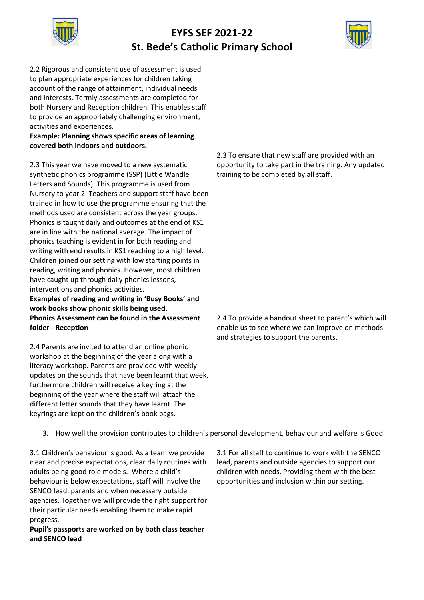



| 2.2 Rigorous and consistent use of assessment is used<br>to plan appropriate experiences for children taking<br>account of the range of attainment, individual needs<br>and interests. Termly assessments are completed for<br>both Nursery and Reception children. This enables staff<br>to provide an appropriately challenging environment,<br>activities and experiences.<br><b>Example: Planning shows specific areas of learning</b><br>covered both indoors and outdoors.<br>2.3 This year we have moved to a new systematic<br>synthetic phonics programme (SSP) (Little Wandle<br>Letters and Sounds). This programme is used from<br>Nursery to year 2. Teachers and support staff have been<br>trained in how to use the programme ensuring that the<br>methods used are consistent across the year groups.<br>Phonics is taught daily and outcomes at the end of KS1<br>are in line with the national average. The impact of<br>phonics teaching is evident in for both reading and<br>writing with end results in KS1 reaching to a high level.<br>Children joined our setting with low starting points in<br>reading, writing and phonics. However, most children<br>have caught up through daily phonics lessons,<br>interventions and phonics activities.<br>Examples of reading and writing in 'Busy Books' and<br>work books show phonic skills being used. | 2.3 To ensure that new staff are provided with an<br>opportunity to take part in the training. Any updated<br>training to be completed by all staff.                                                              |
|-------------------------------------------------------------------------------------------------------------------------------------------------------------------------------------------------------------------------------------------------------------------------------------------------------------------------------------------------------------------------------------------------------------------------------------------------------------------------------------------------------------------------------------------------------------------------------------------------------------------------------------------------------------------------------------------------------------------------------------------------------------------------------------------------------------------------------------------------------------------------------------------------------------------------------------------------------------------------------------------------------------------------------------------------------------------------------------------------------------------------------------------------------------------------------------------------------------------------------------------------------------------------------------------------------------------------------------------------------------------------------|-------------------------------------------------------------------------------------------------------------------------------------------------------------------------------------------------------------------|
| Phonics Assessment can be found in the Assessment<br>folder - Reception                                                                                                                                                                                                                                                                                                                                                                                                                                                                                                                                                                                                                                                                                                                                                                                                                                                                                                                                                                                                                                                                                                                                                                                                                                                                                                       | 2.4 To provide a handout sheet to parent's which will<br>enable us to see where we can improve on methods<br>and strategies to support the parents.                                                               |
| 2.4 Parents are invited to attend an online phonic<br>workshop at the beginning of the year along with a<br>literacy workshop. Parents are provided with weekly<br>updates on the sounds that have been learnt that week,<br>furthermore children will receive a keyring at the<br>beginning of the year where the staff will attach the<br>different letter sounds that they have learnt. The<br>keyrings are kept on the children's book bags.                                                                                                                                                                                                                                                                                                                                                                                                                                                                                                                                                                                                                                                                                                                                                                                                                                                                                                                              |                                                                                                                                                                                                                   |
|                                                                                                                                                                                                                                                                                                                                                                                                                                                                                                                                                                                                                                                                                                                                                                                                                                                                                                                                                                                                                                                                                                                                                                                                                                                                                                                                                                               | 3. How well the provision contributes to children's personal development, behaviour and welfare is Good.                                                                                                          |
| 3.1 Children's behaviour is good. As a team we provide<br>clear and precise expectations, clear daily routines with<br>adults being good role models. Where a child's<br>behaviour is below expectations, staff will involve the<br>SENCO lead, parents and when necessary outside<br>agencies. Together we will provide the right support for<br>their particular needs enabling them to make rapid<br>progress.<br>Pupil's passports are worked on by both class teacher<br>and SENCO lead                                                                                                                                                                                                                                                                                                                                                                                                                                                                                                                                                                                                                                                                                                                                                                                                                                                                                  | 3.1 For all staff to continue to work with the SENCO<br>lead, parents and outside agencies to support our<br>children with needs. Providing them with the best<br>opportunities and inclusion within our setting. |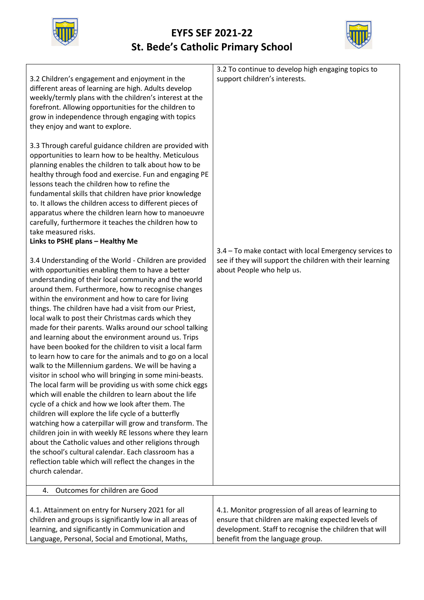



| 3.2 Children's engagement and enjoyment in the<br>different areas of learning are high. Adults develop<br>weekly/termly plans with the children's interest at the<br>forefront. Allowing opportunities for the children to<br>grow in independence through engaging with topics<br>they enjoy and want to explore.<br>3.3 Through careful guidance children are provided with<br>opportunities to learn how to be healthy. Meticulous<br>planning enables the children to talk about how to be<br>healthy through food and exercise. Fun and engaging PE<br>lessons teach the children how to refine the<br>fundamental skills that children have prior knowledge<br>to. It allows the children access to different pieces of<br>apparatus where the children learn how to manoeuvre<br>carefully, furthermore it teaches the children how to<br>take measured risks.<br>Links to PSHE plans - Healthy Me<br>3.4 Understanding of the World - Children are provided<br>with opportunities enabling them to have a better<br>understanding of their local community and the world<br>around them. Furthermore, how to recognise changes<br>within the environment and how to care for living<br>things. The children have had a visit from our Priest,<br>local walk to post their Christmas cards which they<br>made for their parents. Walks around our school talking<br>and learning about the environment around us. Trips<br>have been booked for the children to visit a local farm<br>to learn how to care for the animals and to go on a local<br>walk to the Millennium gardens. We will be having a<br>visitor in school who will bringing in some mini-beasts.<br>The local farm will be providing us with some chick eggs<br>which will enable the children to learn about the life<br>cycle of a chick and how we look after them. The<br>children will explore the life cycle of a butterfly<br>watching how a caterpillar will grow and transform. The<br>children join in with weekly RE lessons where they learn<br>about the Catholic values and other religions through<br>the school's cultural calendar. Each classroom has a<br>reflection table which will reflect the changes in the<br>church calendar.<br>Outcomes for children are Good<br>4. | 3.2 To continue to develop high engaging topics to<br>support children's interests.<br>3.4 - To make contact with local Emergency services to<br>see if they will support the children with their learning<br>about People who help us. |
|--------------------------------------------------------------------------------------------------------------------------------------------------------------------------------------------------------------------------------------------------------------------------------------------------------------------------------------------------------------------------------------------------------------------------------------------------------------------------------------------------------------------------------------------------------------------------------------------------------------------------------------------------------------------------------------------------------------------------------------------------------------------------------------------------------------------------------------------------------------------------------------------------------------------------------------------------------------------------------------------------------------------------------------------------------------------------------------------------------------------------------------------------------------------------------------------------------------------------------------------------------------------------------------------------------------------------------------------------------------------------------------------------------------------------------------------------------------------------------------------------------------------------------------------------------------------------------------------------------------------------------------------------------------------------------------------------------------------------------------------------------------------------------------------------------------------------------------------------------------------------------------------------------------------------------------------------------------------------------------------------------------------------------------------------------------------------------------------------------------------------------------------------------------------------------------------------------------------------------------------------------------------------|-----------------------------------------------------------------------------------------------------------------------------------------------------------------------------------------------------------------------------------------|
|                                                                                                                                                                                                                                                                                                                                                                                                                                                                                                                                                                                                                                                                                                                                                                                                                                                                                                                                                                                                                                                                                                                                                                                                                                                                                                                                                                                                                                                                                                                                                                                                                                                                                                                                                                                                                                                                                                                                                                                                                                                                                                                                                                                                                                                                          |                                                                                                                                                                                                                                         |
| 4.1. Attainment on entry for Nursery 2021 for all<br>children and groups is significantly low in all areas of<br>learning, and significantly in Communication and<br>Language, Personal, Social and Emotional, Maths,                                                                                                                                                                                                                                                                                                                                                                                                                                                                                                                                                                                                                                                                                                                                                                                                                                                                                                                                                                                                                                                                                                                                                                                                                                                                                                                                                                                                                                                                                                                                                                                                                                                                                                                                                                                                                                                                                                                                                                                                                                                    | 4.1. Monitor progression of all areas of learning to<br>ensure that children are making expected levels of<br>development. Staff to recognise the children that will<br>benefit from the language group.                                |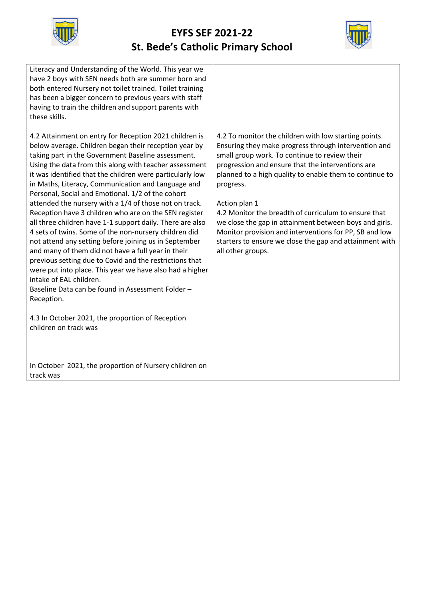



| Literacy and Understanding of the World. This year we<br>have 2 boys with SEN needs both are summer born and<br>both entered Nursery not toilet trained. Toilet training<br>has been a bigger concern to previous years with staff<br>having to train the children and support parents with<br>these skills.                                                                                                                                                                                                                                                                                                                                                                                                                                                                                                                                                                                                                                                                                                                                                      |                                                                                                                                                                                                                                                                                                                                                                                                                                                                                                                                                                          |
|-------------------------------------------------------------------------------------------------------------------------------------------------------------------------------------------------------------------------------------------------------------------------------------------------------------------------------------------------------------------------------------------------------------------------------------------------------------------------------------------------------------------------------------------------------------------------------------------------------------------------------------------------------------------------------------------------------------------------------------------------------------------------------------------------------------------------------------------------------------------------------------------------------------------------------------------------------------------------------------------------------------------------------------------------------------------|--------------------------------------------------------------------------------------------------------------------------------------------------------------------------------------------------------------------------------------------------------------------------------------------------------------------------------------------------------------------------------------------------------------------------------------------------------------------------------------------------------------------------------------------------------------------------|
| 4.2 Attainment on entry for Reception 2021 children is<br>below average. Children began their reception year by<br>taking part in the Government Baseline assessment.<br>Using the data from this along with teacher assessment<br>it was identified that the children were particularly low<br>in Maths, Literacy, Communication and Language and<br>Personal, Social and Emotional. 1/2 of the cohort<br>attended the nursery with a 1/4 of those not on track.<br>Reception have 3 children who are on the SEN register<br>all three children have 1-1 support daily. There are also<br>4 sets of twins. Some of the non-nursery children did<br>not attend any setting before joining us in September<br>and many of them did not have a full year in their<br>previous setting due to Covid and the restrictions that<br>were put into place. This year we have also had a higher<br>intake of EAL children.<br>Baseline Data can be found in Assessment Folder -<br>Reception.<br>4.3 In October 2021, the proportion of Reception<br>children on track was | 4.2 To monitor the children with low starting points.<br>Ensuring they make progress through intervention and<br>small group work. To continue to review their<br>progression and ensure that the interventions are<br>planned to a high quality to enable them to continue to<br>progress.<br>Action plan 1<br>4.2 Monitor the breadth of curriculum to ensure that<br>we close the gap in attainment between boys and girls.<br>Monitor provision and interventions for PP, SB and low<br>starters to ensure we close the gap and attainment with<br>all other groups. |
| In October 2021, the proportion of Nursery children on<br>track was                                                                                                                                                                                                                                                                                                                                                                                                                                                                                                                                                                                                                                                                                                                                                                                                                                                                                                                                                                                               |                                                                                                                                                                                                                                                                                                                                                                                                                                                                                                                                                                          |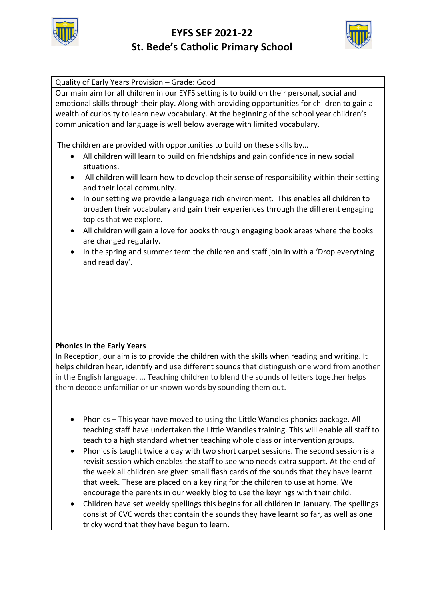



Quality of Early Years Provision – Grade: Good

Our main aim for all children in our EYFS setting is to build on their personal, social and emotional skills through their play. Along with providing opportunities for children to gain a wealth of curiosity to learn new vocabulary. At the beginning of the school year children's communication and language is well below average with limited vocabulary.

The children are provided with opportunities to build on these skills by…

- All children will learn to build on friendships and gain confidence in new social situations.
- All children will learn how to develop their sense of responsibility within their setting and their local community.
- In our setting we provide a language rich environment. This enables all children to broaden their vocabulary and gain their experiences through the different engaging topics that we explore.
- All children will gain a love for books through engaging book areas where the books are changed regularly.
- In the spring and summer term the children and staff join in with a 'Drop everything and read day'.

## **Phonics in the Early Years**

In Reception, our aim is to provide the children with the skills when reading and writing. It helps children hear, identify and use different sounds that distinguish one word from another in the English language. ... Teaching children to blend the sounds of letters together helps them decode unfamiliar or unknown words by sounding them out.

- Phonics This year have moved to using the Little Wandles phonics package. All teaching staff have undertaken the Little Wandles training. This will enable all staff to teach to a high standard whether teaching whole class or intervention groups.
- Phonics is taught twice a day with two short carpet sessions. The second session is a revisit session which enables the staff to see who needs extra support. At the end of the week all children are given small flash cards of the sounds that they have learnt that week. These are placed on a key ring for the children to use at home. We encourage the parents in our weekly blog to use the keyrings with their child.
- Children have set weekly spellings this begins for all children in January. The spellings consist of CVC words that contain the sounds they have learnt so far, as well as one tricky word that they have begun to learn.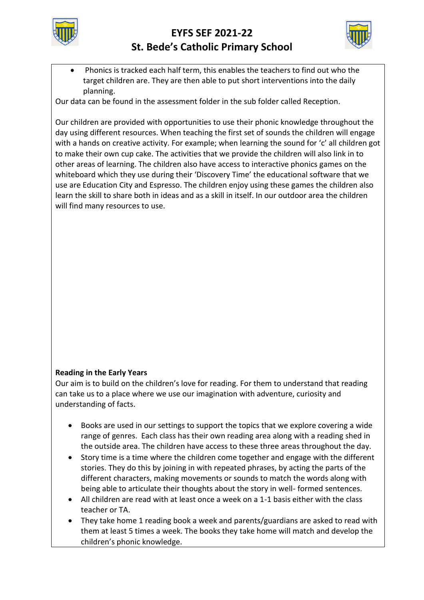



 Phonics is tracked each half term, this enables the teachers to find out who the target children are. They are then able to put short interventions into the daily planning.

Our data can be found in the assessment folder in the sub folder called Reception.

Our children are provided with opportunities to use their phonic knowledge throughout the day using different resources. When teaching the first set of sounds the children will engage with a hands on creative activity. For example; when learning the sound for 'c' all children got to make their own cup cake. The activities that we provide the children will also link in to other areas of learning. The children also have access to interactive phonics games on the whiteboard which they use during their 'Discovery Time' the educational software that we use are Education City and Espresso. The children enjoy using these games the children also learn the skill to share both in ideas and as a skill in itself. In our outdoor area the children will find many resources to use.

#### **Reading in the Early Years**

Our aim is to build on the children's love for reading. For them to understand that reading can take us to a place where we use our imagination with adventure, curiosity and understanding of facts.

- Books are used in our settings to support the topics that we explore covering a wide range of genres. Each class has their own reading area along with a reading shed in the outside area. The children have access to these three areas throughout the day.
- Story time is a time where the children come together and engage with the different stories. They do this by joining in with repeated phrases, by acting the parts of the different characters, making movements or sounds to match the words along with being able to articulate their thoughts about the story in well- formed sentences.
- All children are read with at least once a week on a 1-1 basis either with the class teacher or TA.
- They take home 1 reading book a week and parents/guardians are asked to read with them at least 5 times a week. The books they take home will match and develop the children's phonic knowledge.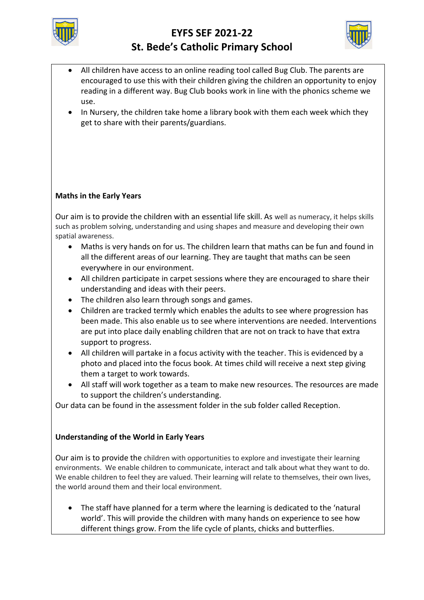



- All children have access to an online reading tool called Bug Club. The parents are encouraged to use this with their children giving the children an opportunity to enjoy reading in a different way. Bug Club books work in line with the phonics scheme we use.
- In Nursery, the children take home a library book with them each week which they get to share with their parents/guardians.

# **Maths in the Early Years**

Our aim is to provide the children with an essential life skill. As well as numeracy, it helps skills such as problem solving, understanding and using shapes and measure and developing their own spatial awareness.

- Maths is very hands on for us. The children learn that maths can be fun and found in all the different areas of our learning. They are taught that maths can be seen everywhere in our environment.
- All children participate in carpet sessions where they are encouraged to share their understanding and ideas with their peers.
- The children also learn through songs and games.
- Children are tracked termly which enables the adults to see where progression has been made. This also enable us to see where interventions are needed. Interventions are put into place daily enabling children that are not on track to have that extra support to progress.
- All children will partake in a focus activity with the teacher. This is evidenced by a photo and placed into the focus book. At times child will receive a next step giving them a target to work towards.
- All staff will work together as a team to make new resources. The resources are made to support the children's understanding.

Our data can be found in the assessment folder in the sub folder called Reception.

## **Understanding of the World in Early Years**

Our aim is to provide the children with opportunities to explore and investigate their learning environments. We enable children to communicate, interact and talk about what they want to do. We enable children to feel they are valued. Their learning will relate to themselves, their own lives, the world around them and their local environment.

 The staff have planned for a term where the learning is dedicated to the 'natural world'. This will provide the children with many hands on experience to see how different things grow. From the life cycle of plants, chicks and butterflies.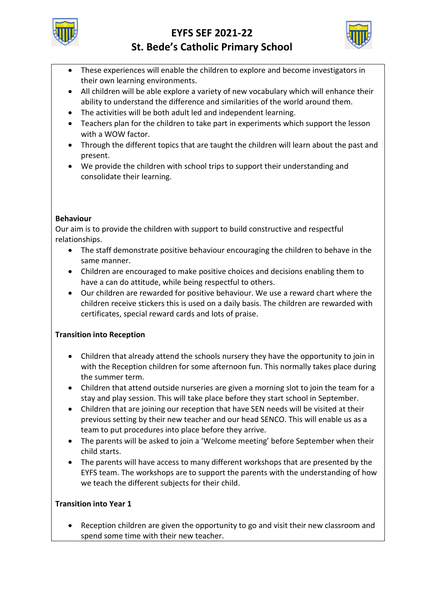



- These experiences will enable the children to explore and become investigators in their own learning environments.
- All children will be able explore a variety of new vocabulary which will enhance their ability to understand the difference and similarities of the world around them.
- The activities will be both adult led and independent learning.
- Teachers plan for the children to take part in experiments which support the lesson with a WOW factor.
- Through the different topics that are taught the children will learn about the past and present.
- We provide the children with school trips to support their understanding and consolidate their learning.

# **Behaviour**

Our aim is to provide the children with support to build constructive and respectful relationships.

- The staff demonstrate positive behaviour encouraging the children to behave in the same manner.
- Children are encouraged to make positive choices and decisions enabling them to have a can do attitude, while being respectful to others.
- Our children are rewarded for positive behaviour. We use a reward chart where the children receive stickers this is used on a daily basis. The children are rewarded with certificates, special reward cards and lots of praise.

# **Transition into Reception**

- Children that already attend the schools nursery they have the opportunity to join in with the Reception children for some afternoon fun. This normally takes place during the summer term.
- Children that attend outside nurseries are given a morning slot to join the team for a stay and play session. This will take place before they start school in September.
- Children that are joining our reception that have SEN needs will be visited at their previous setting by their new teacher and our head SENCO. This will enable us as a team to put procedures into place before they arrive.
- The parents will be asked to join a 'Welcome meeting' before September when their child starts.
- The parents will have access to many different workshops that are presented by the EYFS team. The workshops are to support the parents with the understanding of how we teach the different subjects for their child.

## **Transition into Year 1**

 Reception children are given the opportunity to go and visit their new classroom and spend some time with their new teacher.